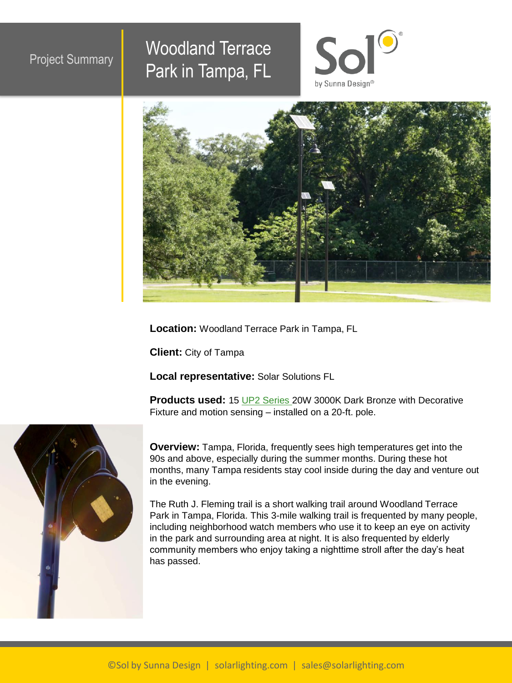## Project Summary Woodland Terrace Park in Tampa, FL





**Location:** Woodland Terrace Park in Tampa, FL

**Client:** City of Tampa

**Local representative:** Solar Solutions FL

**Products used:** 15 [UP2 Series](https://www.walterswholesale.com/) 20W 3000K Dark Bronze with Decorative Fixture and motion sensing – installed on a 20-ft. pole.



**Overview:** Tampa, Florida, frequently sees high temperatures get into the 90s and above, especially during the summer months. During these hot months, many Tampa residents stay cool inside during the day and venture out in the evening.

The Ruth J. Fleming trail is a short walking trail around Woodland Terrace Park in Tampa, Florida. This 3-mile walking trail is frequented by many people, including neighborhood watch members who use it to keep an eye on activity in the park and surrounding area at night. It is also frequented by elderly community members who enjoy taking a nighttime stroll after the day's heat has passed.